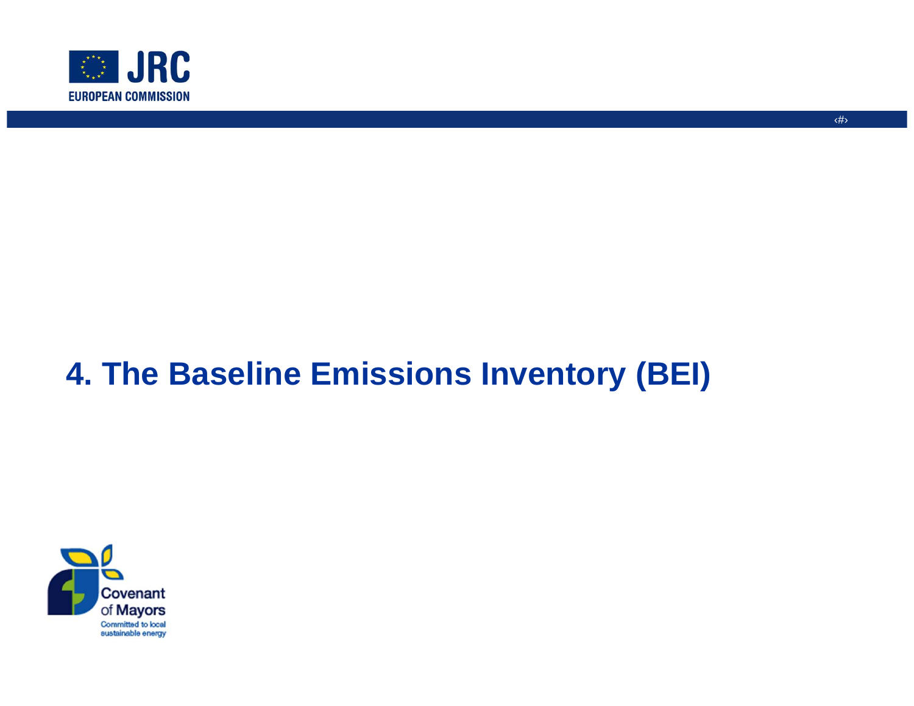

#### ‹#›

# **4. The Baseline Emissions Inventory (BEI)**

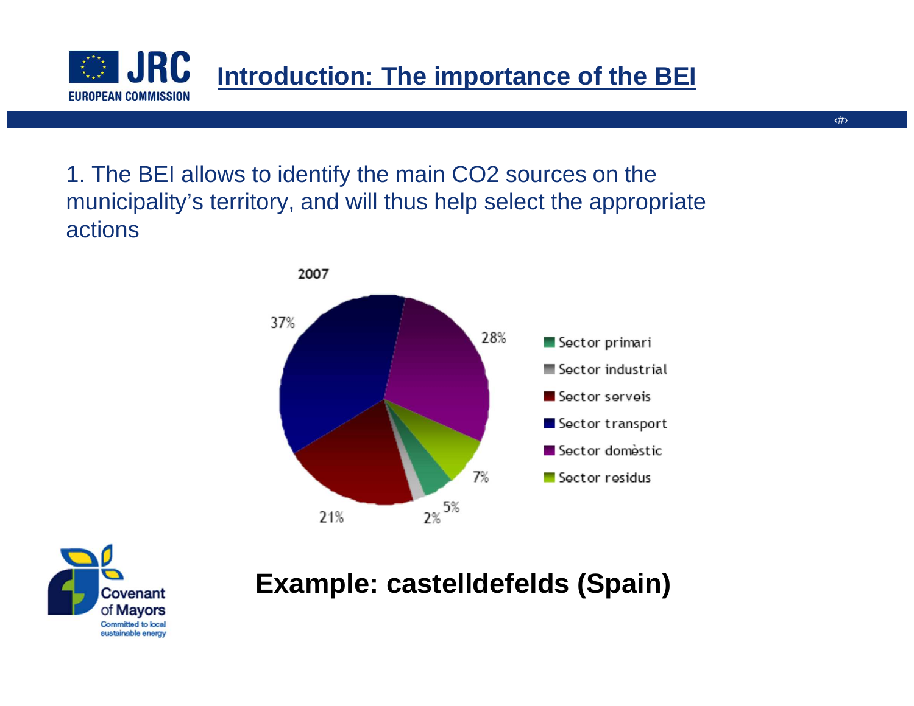1. The BEI allows to identify the main CO2 sources on the municipality's territory, and will thus help select the appropriate actions



**Introduction: The importance of the BEI**



**JRC** 

**EUROPEAN COMMISSION** 

 $\mathcal{L}^{\mathcal{I}\mathcal{I}\mathcal{I}}_{\mathcal{I}\mathcal{I}}$ 

### **Example: castelldefelds (Spain)**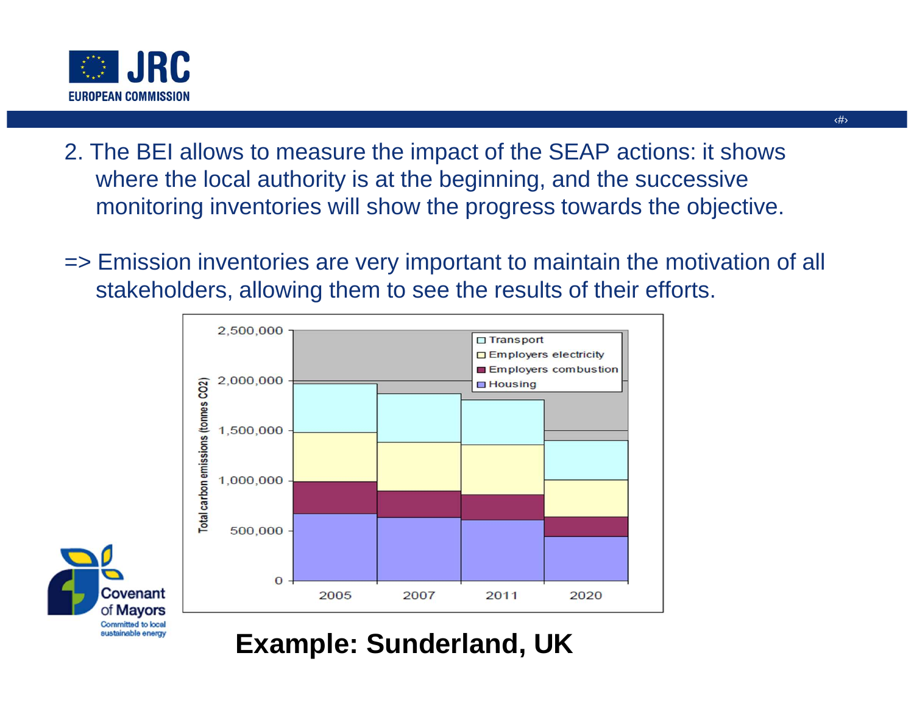

- 2. The BEI allows to measure the impact of the SEAP actions: it shows where the local authority is at the beginning, and the successive monitoring inventories will show the progress towards the objective.
- => Emission inventories are very important to maintain the motivation of all stakeholders, allowing them to see the results of their efforts.





### **Example: Sunderland, UK**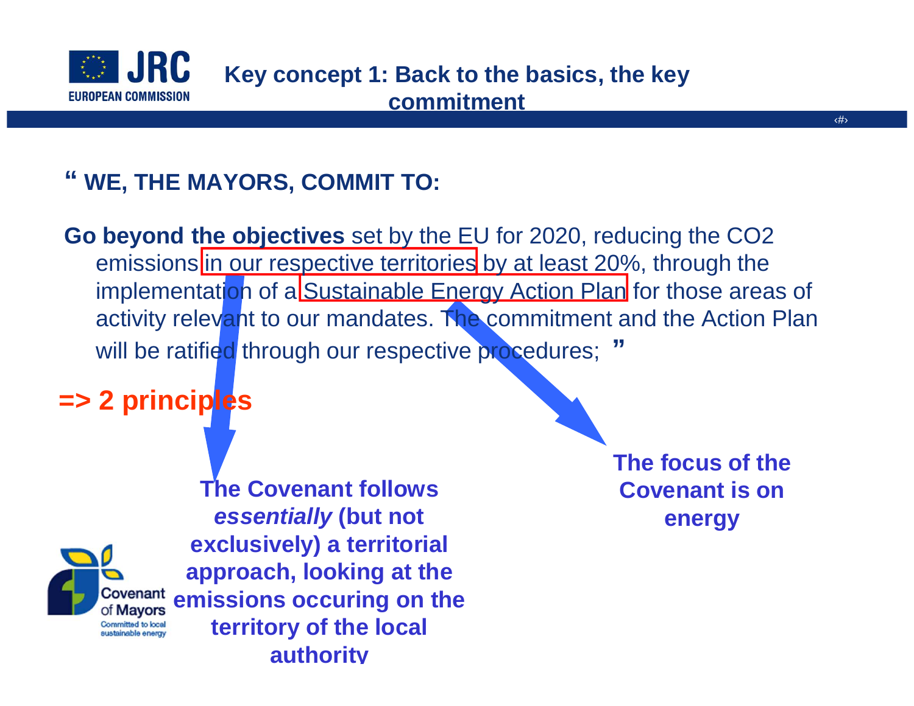

## **" WE, THE MAYORS, COMMIT TO:**

**Go beyond the objectives** set by the EU for 2020, reducing the CO2 emissions in our respective territories by at least 20%, through the implementati<mark>o</mark>n of a Sustainable Energy Action Plan</mark> for those areas of activity relevant to our mandates. The commitment and the Action Plan will be ratified through our respective procedures; **"**

### **=> 2 principles**



**The focus of the Covenant is on energy**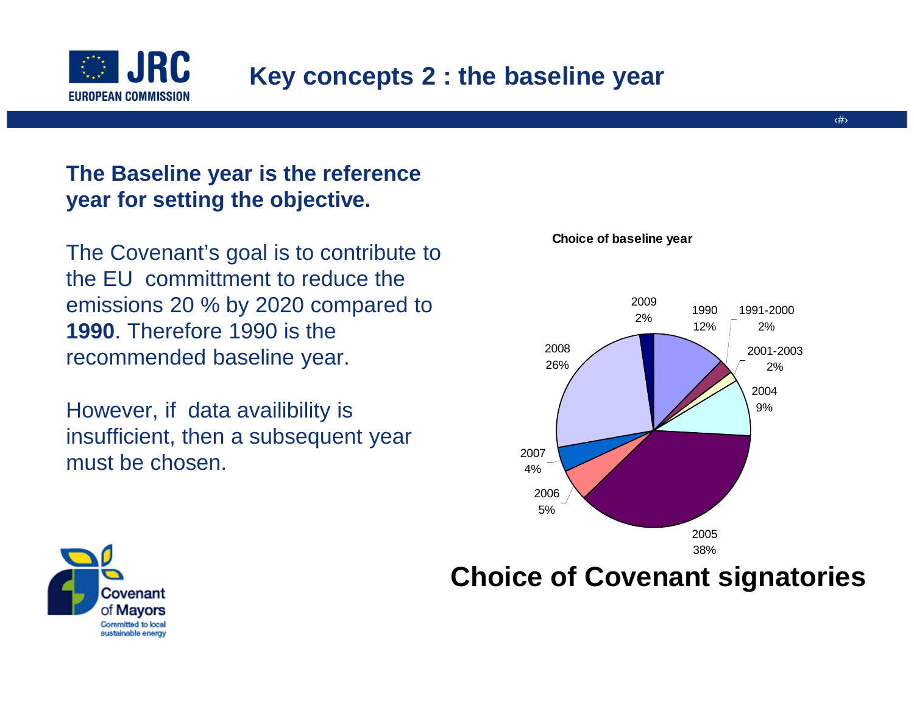

### **Key concepts 2 : the baseline year**

#### **The Baseline year is the reference year for setting the objective.**

The Covenant's goal is to contribute to the EU committment to reduce the emissions 20 % by 2020 compared to **1990**. Therefore 1990 is the recommended baseline year.

However, if data availibility is insufficient, then a subsequent year must be chosen.





### **Choice of Covenant signatories**

**Choice of baseline year**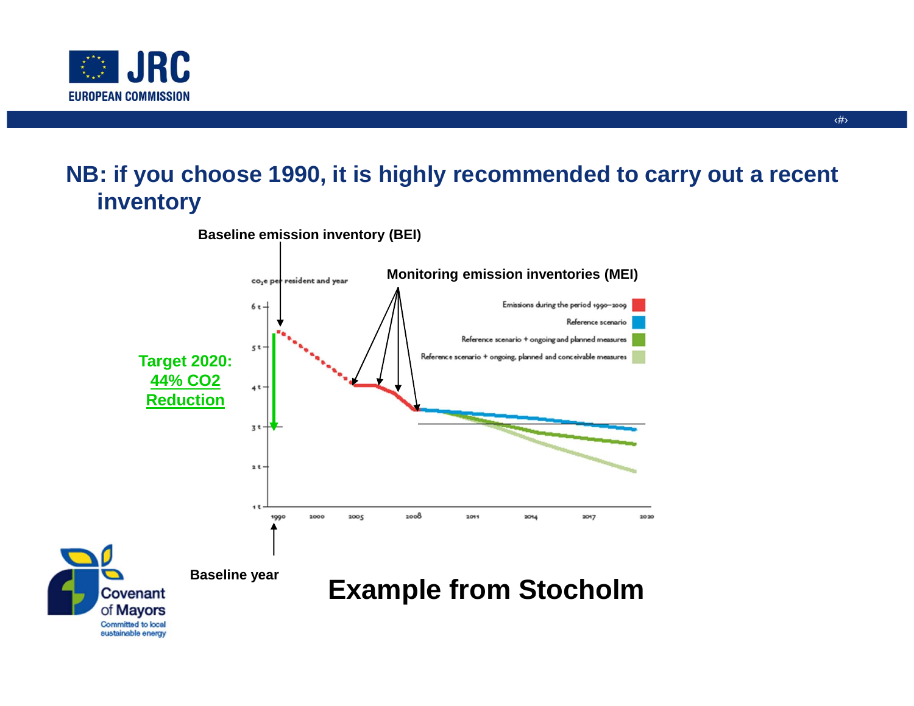

#### **NB: if you choose 1990, it is highly recommended to carry out a recent inventory**

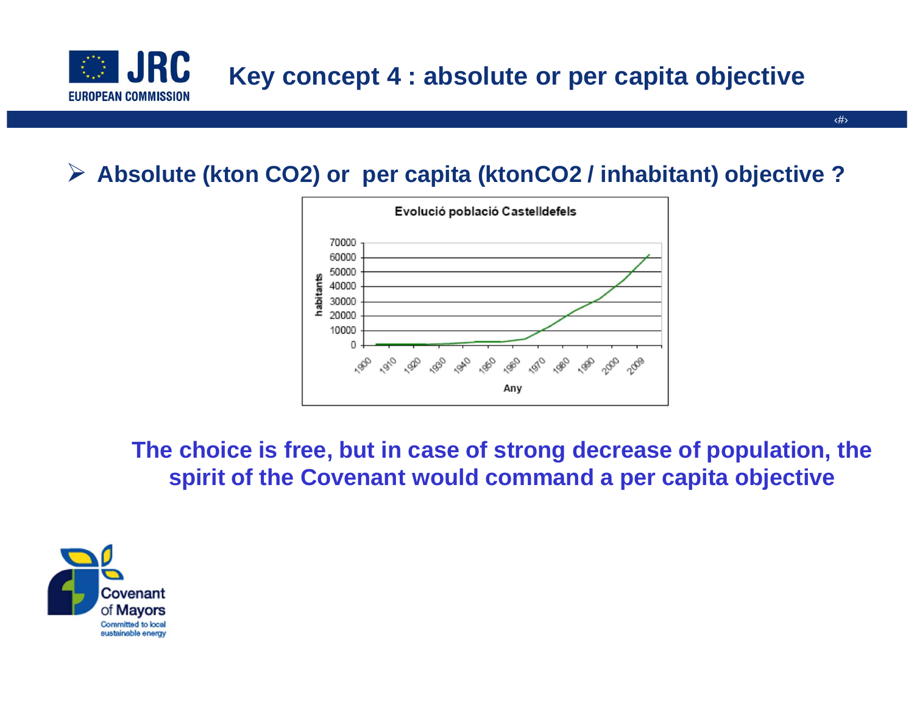

# **Absolute (kton CO2) or per capita (ktonCO2 / inhabitant) objective ?**



**The choice is free, but in case of strong decrease of population, the spirit of the Covenant would command a per capita objective**

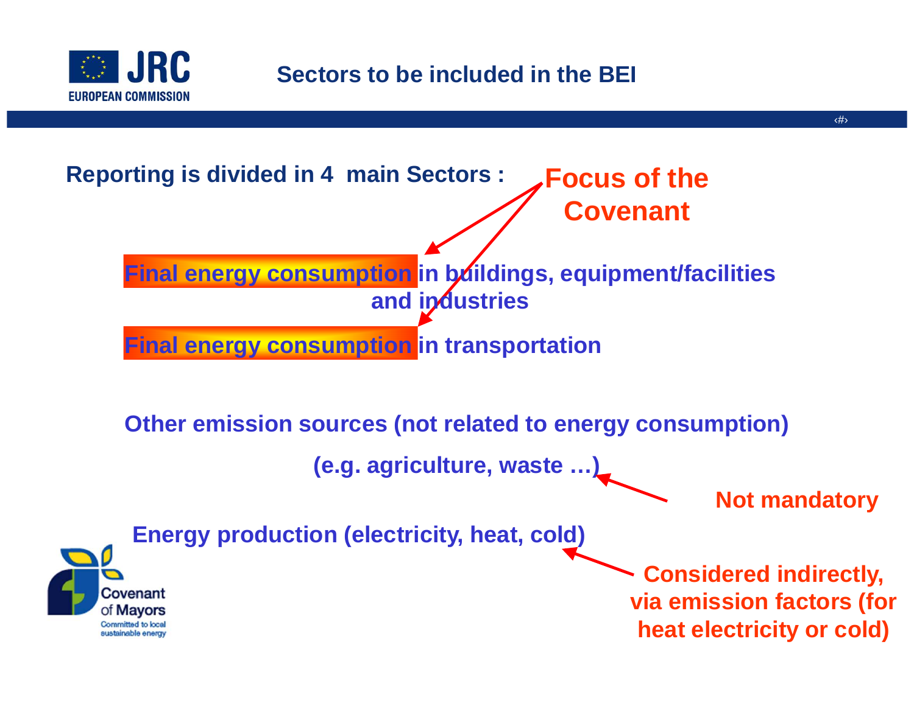

### **Sectors to be included in the BEI**

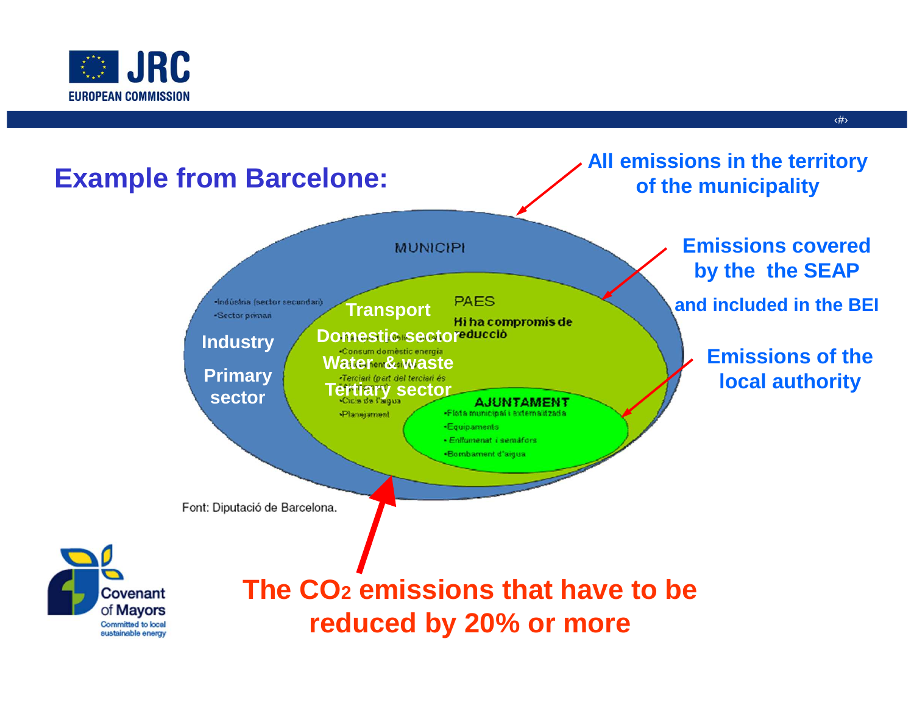



‹#›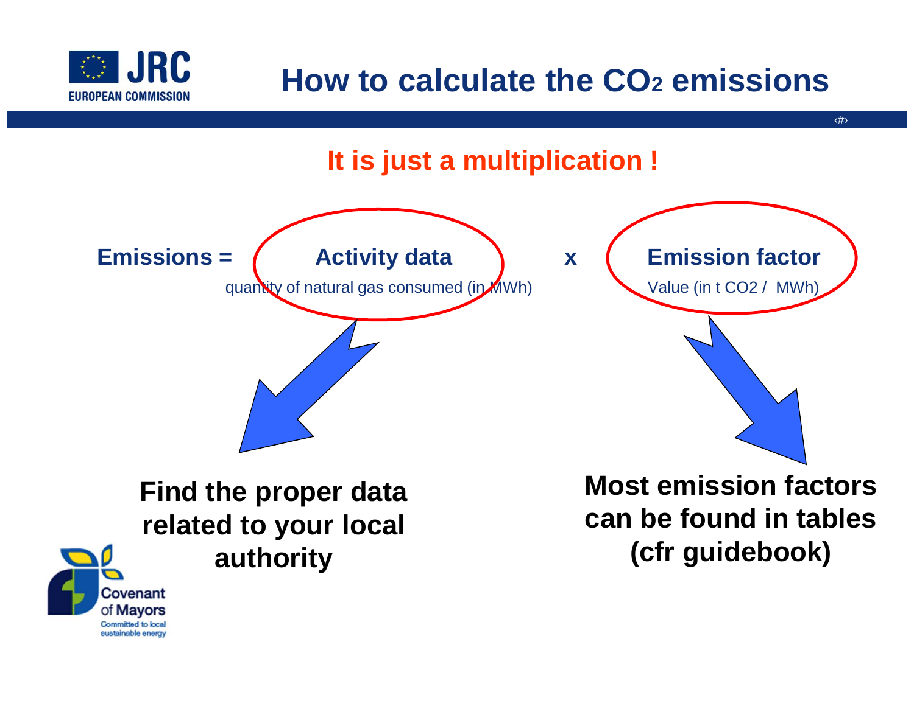

# **How to calculate the CO2 emissions**

‹#›



Covenant of Mayors sustainable energy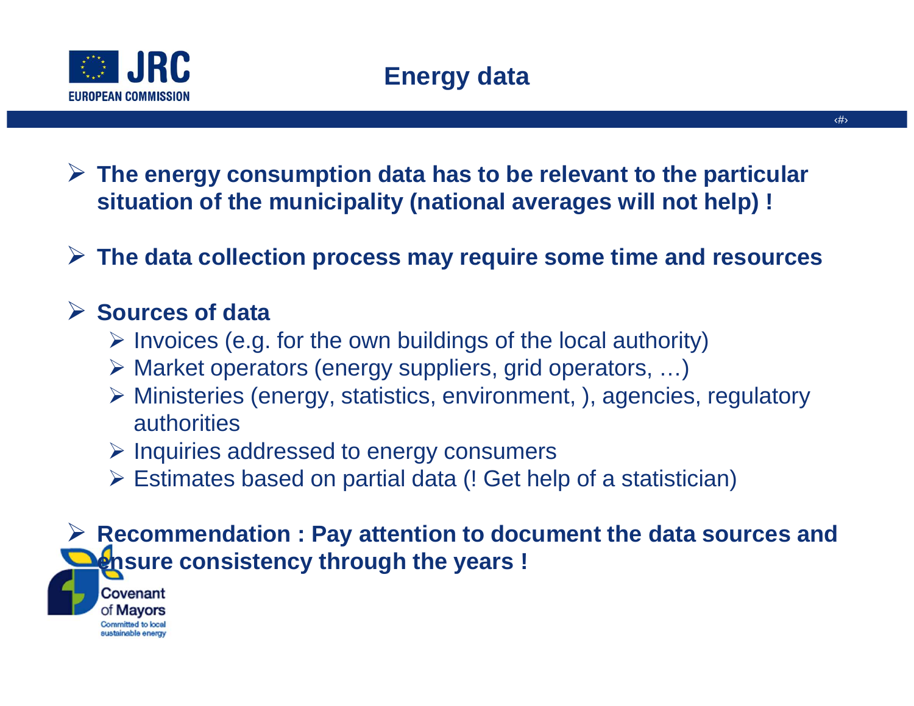

 **The energy consumption data has to be relevant to the particular situation of the municipality (national averages will not help) !**

**The data collection process may require some time and resources**

# **Sources of data ≥ Invoices (e.g.**

- $\triangleright$  Invoices (e.g. for the own buildings of the local authority)
- ► Market operators (energy suppliers, grid operators, ...)<br>
Nationalisation (energy, etatioties, environment, ), esencies
- Ministeries (energy, statistics, environment, ), agencies, regulatory authorities
- > Inquiries addressed to energy consumers
- Estimates based on partial data (! Get help of a statistician)

**EXA Recommendation : Pay attention to document the data sources and <br>
Densure consistency through the vears ! ensure consistency through the years !**

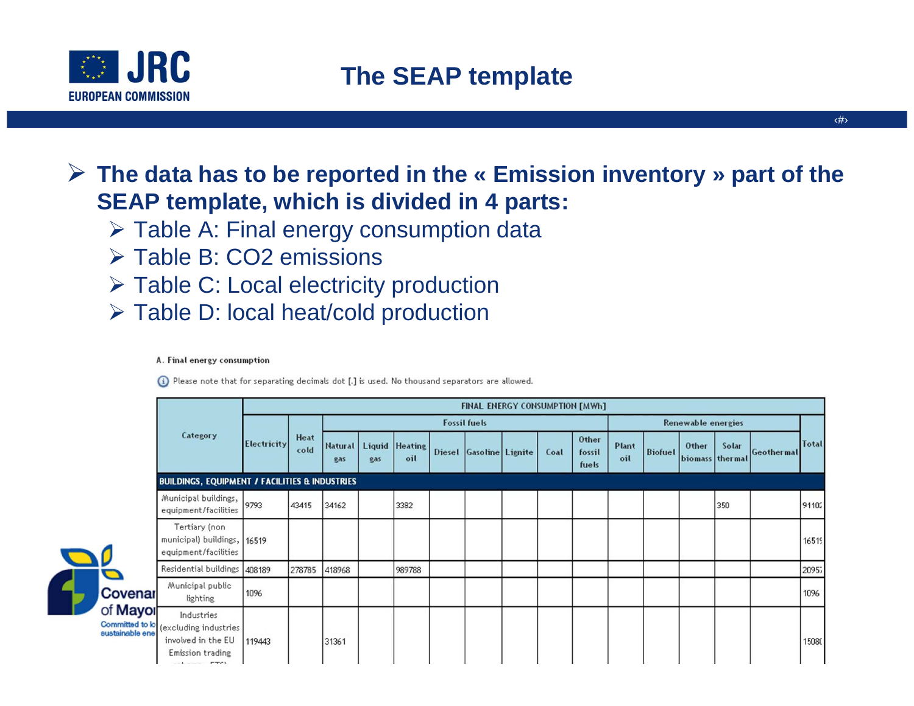

### **The data has to be reported in the « Emission inventory » part of the SEAP template, which is divided in 4 parts:**

- > Table A: Final energy consumption data
- > Table B: CO2 emissions
- > Table C: Local electricity production
- Table D: local heat/cold production

#### A. Final energy consumption

(i) Please note that for separating decimals dot [.] is used. No thousand separators are allowed.

|   |                     | Category                                                                                                            | <b>FINAL ENERGY CONSUMPTION [MWh]</b> |              |                     |     |                       |  |                         |  |      |                          |                           |                |                          |       |            |              |
|---|---------------------|---------------------------------------------------------------------------------------------------------------------|---------------------------------------|--------------|---------------------|-----|-----------------------|--|-------------------------|--|------|--------------------------|---------------------------|----------------|--------------------------|-------|------------|--------------|
|   |                     |                                                                                                                     | <b>Electricity</b>                    | Heat<br>cold | <b>Fossil fuels</b> |     |                       |  |                         |  |      |                          | <b>Renewable energies</b> |                |                          |       |            |              |
|   |                     |                                                                                                                     |                                       |              | Natural  <br>gas    | gas | Liquid Heating<br>oil |  | Diesel Gasoline Lignite |  | Coal | Other<br>fossil<br>fuels | Plant<br>oil              | <b>Biofuel</b> | Other<br>biomass thermal | Solar | Geothermal | <b>Total</b> |
|   |                     | <b>BUILDINGS, EQUIPMENT / FACILITIES &amp; INDUSTRIES</b>                                                           |                                       |              |                     |     |                       |  |                         |  |      |                          |                           |                |                          |       |            |              |
| 7 | Covenar<br>of Mayor | Municipal buildings,<br>equipment/facilities                                                                        | 9793                                  | 43415        | 34162               |     | 3382                  |  |                         |  |      |                          |                           |                |                          | 350   |            | 91102        |
|   |                     | Tertiary (non<br>municipal) buildings, 16519<br>equipment/facilities                                                |                                       |              |                     |     |                       |  |                         |  |      |                          |                           |                |                          |       |            | 16519        |
|   |                     | Residential buildings                                                                                               | 408189                                | 278785       | 418968              |     | 989788                |  |                         |  |      |                          |                           |                |                          |       |            | 20957        |
|   |                     | Municipal public<br>lighting                                                                                        | 1096                                  |              |                     |     |                       |  |                         |  |      |                          |                           |                |                          |       |            | 1096         |
|   |                     | Industries<br>Committed to lo (excluding industries)<br>involved in the EU<br>Emission trading<br><b>CONTRACTOR</b> | 119443                                |              | 31361               |     |                       |  |                         |  |      |                          |                           |                |                          |       |            | 15080        |